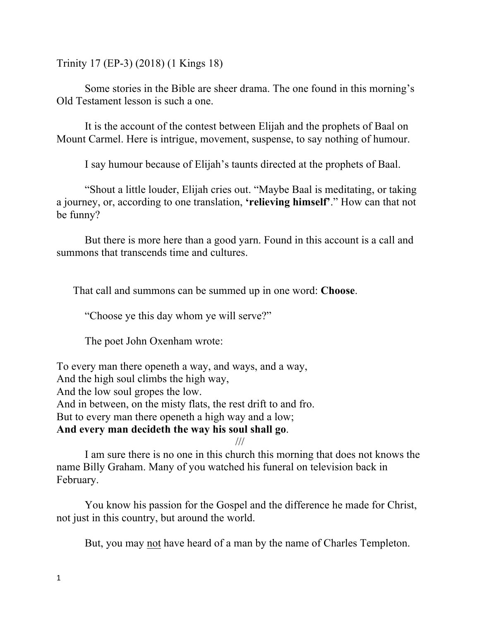Trinity 17 (EP-3) (2018) (1 Kings 18)

Some stories in the Bible are sheer drama. The one found in this morning's Old Testament lesson is such a one.

It is the account of the contest between Elijah and the prophets of Baal on Mount Carmel. Here is intrigue, movement, suspense, to say nothing of humour.

I say humour because of Elijah's taunts directed at the prophets of Baal.

"Shout a little louder, Elijah cries out. "Maybe Baal is meditating, or taking a journey, or, according to one translation, **'relieving himself'**." How can that not be funny?

But there is more here than a good yarn. Found in this account is a call and summons that transcends time and cultures.

That call and summons can be summed up in one word: **Choose**.

"Choose ye this day whom ye will serve?"

The poet John Oxenham wrote:

To every man there openeth a way, and ways, and a way, And the high soul climbs the high way, And the low soul gropes the low. And in between, on the misty flats, the rest drift to and fro. But to every man there openeth a high way and a low; **And every man decideth the way his soul shall go**.

///

I am sure there is no one in this church this morning that does not knows the name Billy Graham. Many of you watched his funeral on television back in February.

You know his passion for the Gospel and the difference he made for Christ, not just in this country, but around the world.

But, you may not have heard of a man by the name of Charles Templeton.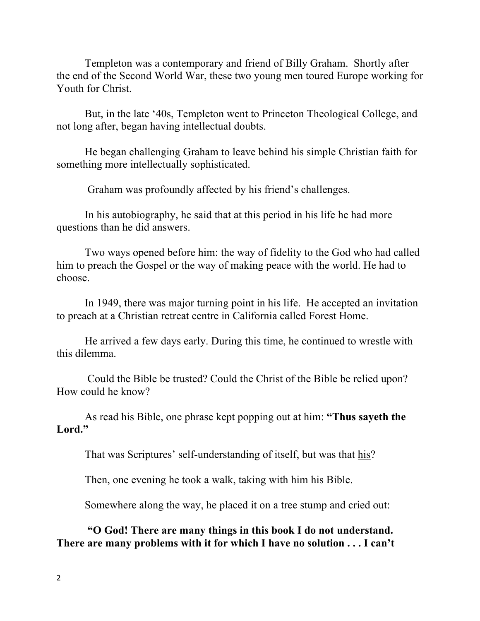Templeton was a contemporary and friend of Billy Graham. Shortly after the end of the Second World War, these two young men toured Europe working for Youth for Christ.

But, in the late '40s, Templeton went to Princeton Theological College, and not long after, began having intellectual doubts.

He began challenging Graham to leave behind his simple Christian faith for something more intellectually sophisticated.

Graham was profoundly affected by his friend's challenges.

In his autobiography, he said that at this period in his life he had more questions than he did answers.

Two ways opened before him: the way of fidelity to the God who had called him to preach the Gospel or the way of making peace with the world. He had to choose.

In 1949, there was major turning point in his life. He accepted an invitation to preach at a Christian retreat centre in California called Forest Home.

He arrived a few days early. During this time, he continued to wrestle with this dilemma.

Could the Bible be trusted? Could the Christ of the Bible be relied upon? How could he know?

As read his Bible, one phrase kept popping out at him: **"Thus sayeth the Lord."**

That was Scriptures' self-understanding of itself, but was that his?

Then, one evening he took a walk, taking with him his Bible.

Somewhere along the way, he placed it on a tree stump and cried out:

**"O God! There are many things in this book I do not understand. There are many problems with it for which I have no solution . . . I can't**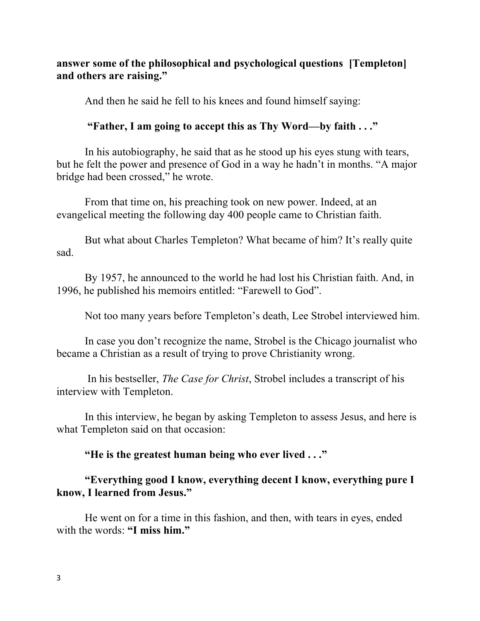## **answer some of the philosophical and psychological questions [Templeton] and others are raising."**

And then he said he fell to his knees and found himself saying:

## **"Father, I am going to accept this as Thy Word—by faith . . ."**

In his autobiography, he said that as he stood up his eyes stung with tears, but he felt the power and presence of God in a way he hadn't in months. "A major bridge had been crossed," he wrote.

From that time on, his preaching took on new power. Indeed, at an evangelical meeting the following day 400 people came to Christian faith.

But what about Charles Templeton? What became of him? It's really quite sad.

By 1957, he announced to the world he had lost his Christian faith. And, in 1996, he published his memoirs entitled: "Farewell to God".

Not too many years before Templeton's death, Lee Strobel interviewed him.

In case you don't recognize the name, Strobel is the Chicago journalist who became a Christian as a result of trying to prove Christianity wrong.

In his bestseller, *The Case for Christ*, Strobel includes a transcript of his interview with Templeton.

In this interview, he began by asking Templeton to assess Jesus, and here is what Templeton said on that occasion:

**"He is the greatest human being who ever lived . . ."**

## **"Everything good I know, everything decent I know, everything pure I know, I learned from Jesus."**

He went on for a time in this fashion, and then, with tears in eyes, ended with the words: **"I miss him."**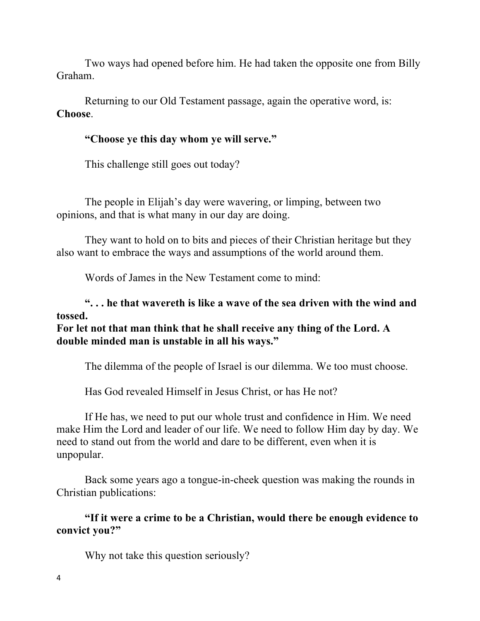Two ways had opened before him. He had taken the opposite one from Billy Graham.

Returning to our Old Testament passage, again the operative word, is: **Choose**.

## **"Choose ye this day whom ye will serve."**

This challenge still goes out today?

The people in Elijah's day were wavering, or limping, between two opinions, and that is what many in our day are doing.

They want to hold on to bits and pieces of their Christian heritage but they also want to embrace the ways and assumptions of the world around them.

Words of James in the New Testament come to mind:

**". . . he that wavereth is like a wave of the sea driven with the wind and tossed.**

**For let not that man think that he shall receive any thing of the Lord. A double minded man is unstable in all his ways."** 

The dilemma of the people of Israel is our dilemma. We too must choose.

Has God revealed Himself in Jesus Christ, or has He not?

If He has, we need to put our whole trust and confidence in Him. We need make Him the Lord and leader of our life. We need to follow Him day by day. We need to stand out from the world and dare to be different, even when it is unpopular.

Back some years ago a tongue-in-cheek question was making the rounds in Christian publications:

**"If it were a crime to be a Christian, would there be enough evidence to convict you?"**

Why not take this question seriously?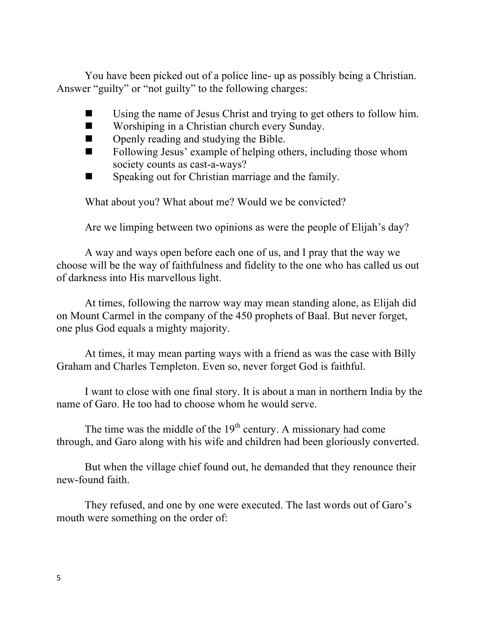You have been picked out of a police line- up as possibly being a Christian. Answer "guilty" or "not guilty" to the following charges:

- $\blacksquare$  Using the name of Jesus Christ and trying to get others to follow him.
- $\blacksquare$  Worshiping in a Christian church every Sunday.
- $\Box$  Openly reading and studying the Bible.
- $\blacksquare$  Following Jesus' example of helping others, including those whom society counts as cast-a-ways?
- $\blacksquare$  Speaking out for Christian marriage and the family.

What about you? What about me? Would we be convicted?

Are we limping between two opinions as were the people of Elijah's day?

A way and ways open before each one of us, and I pray that the way we choose will be the way of faithfulness and fidelity to the one who has called us out of darkness into His marvellous light.

At times, following the narrow way may mean standing alone, as Elijah did on Mount Carmel in the company of the 450 prophets of Baal. But never forget, one plus God equals a mighty majority.

At times, it may mean parting ways with a friend as was the case with Billy Graham and Charles Templeton. Even so, never forget God is faithful.

I want to close with one final story. It is about a man in northern India by the name of Garo. He too had to choose whom he would serve.

The time was the middle of the  $19<sup>th</sup>$  century. A missionary had come through, and Garo along with his wife and children had been gloriously converted.

But when the village chief found out, he demanded that they renounce their new-found faith.

They refused, and one by one were executed. The last words out of Garo's mouth were something on the order of: